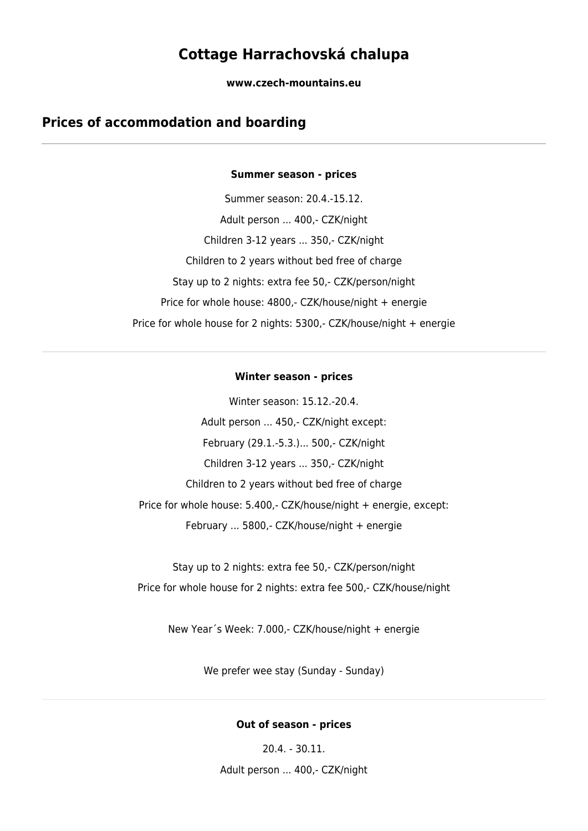# **Cottage Harrachovská chalupa**

**www.czech-mountains.eu**

# **Prices of accommodation and boarding**

#### **Summer season - prices**

Summer season: 20.4.-15.12. Adult person ... 400,- CZK/night Children 3-12 years ... 350,- CZK/night Children to 2 years without bed free of charge Stay up to 2 nights: extra fee 50,- CZK/person/night Price for whole house: 4800,- CZK/house/night + energie Price for whole house for 2 nights: 5300,- CZK/house/night + energie

#### **Winter season - prices**

Winter season: 15.12.-20.4. Adult person ... 450,- CZK/night except: February (29.1.-5.3.)... 500,- CZK/night Children 3-12 years ... 350,- CZK/night Children to 2 years without bed free of charge Price for whole house: 5.400,- CZK/house/night + energie, except: February ... 5800,- CZK/house/night + energie

Stay up to 2 nights: extra fee 50,- CZK/person/night Price for whole house for 2 nights: extra fee 500,- CZK/house/night

New Year´s Week: 7.000,- CZK/house/night + energie

We prefer wee stay (Sunday - Sunday)

#### **Out of season - prices**

20.4. - 30.11.

Adult person ... 400,- CZK/night